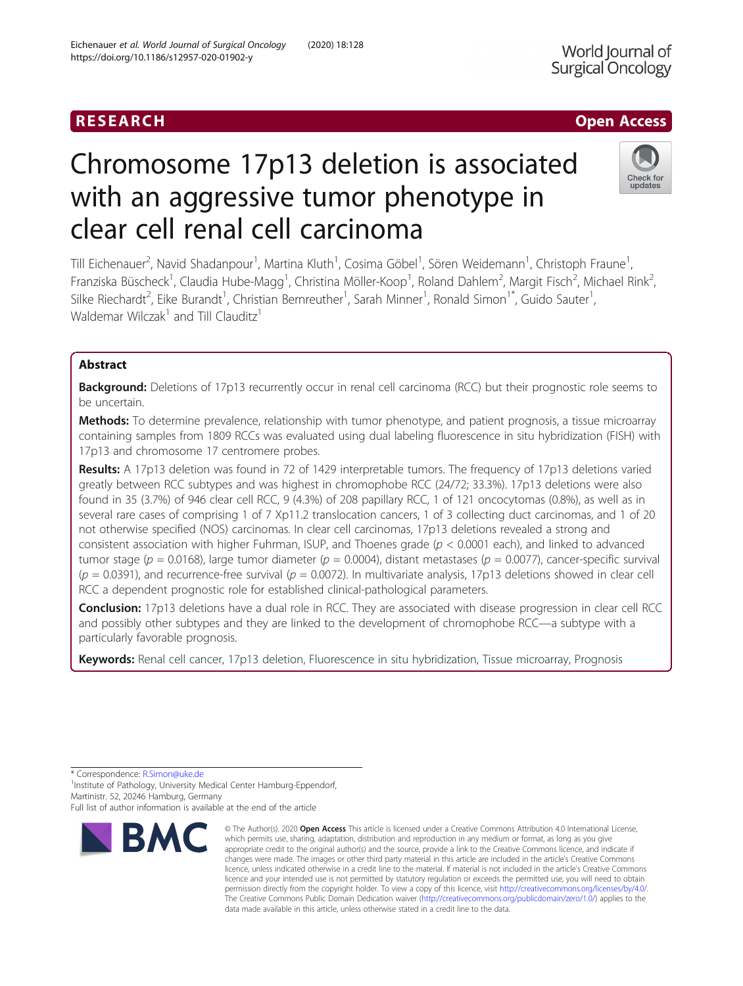# RESEARCH **RESEARCH CHANNEL CONTROL**

# Chromosome 17p13 deletion is associated with an aggressive tumor phenotype in clear cell renal cell carcinoma

Till Eichenauer<sup>2</sup>, Navid Shadanpour<sup>1</sup>, Martina Kluth<sup>1</sup>, Cosima Göbel<sup>1</sup>, Sören Weidemann<sup>1</sup>, Christoph Fraune<sup>1</sup> , Franziska Büscheck<sup>1</sup>, Claudia Hube-Magg<sup>1</sup>, Christina Möller-Koop<sup>1</sup>, Roland Dahlem<sup>2</sup>, Margit Fisch<sup>2</sup>, Michael Rink<sup>2</sup> .<br>, Silke Riechardt<sup>2</sup>, Eike Burandt<sup>1</sup>, Christian Bernreuther<sup>1</sup>, Sarah Minner<sup>1</sup>, Ronald Simon<sup>1\*</sup>, Guido Sauter<sup>1</sup> , Waldemar Wilczak<sup>1</sup> and Till Clauditz<sup>1</sup>

## Abstract

Background: Deletions of 17p13 recurrently occur in renal cell carcinoma (RCC) but their prognostic role seems to be uncertain.

Methods: To determine prevalence, relationship with tumor phenotype, and patient prognosis, a tissue microarray containing samples from 1809 RCCs was evaluated using dual labeling fluorescence in situ hybridization (FISH) with 17p13 and chromosome 17 centromere probes.

Results: A 17p13 deletion was found in 72 of 1429 interpretable tumors. The frequency of 17p13 deletions varied greatly between RCC subtypes and was highest in chromophobe RCC (24/72; 33.3%). 17p13 deletions were also found in 35 (3.7%) of 946 clear cell RCC, 9 (4.3%) of 208 papillary RCC, 1 of 121 oncocytomas (0.8%), as well as in several rare cases of comprising 1 of 7 Xp11.2 translocation cancers, 1 of 3 collecting duct carcinomas, and 1 of 20 not otherwise specified (NOS) carcinomas. In clear cell carcinomas, 17p13 deletions revealed a strong and consistent association with higher Fuhrman, ISUP, and Thoenes grade ( $p < 0.0001$  each), and linked to advanced tumor stage ( $p = 0.0168$ ), large tumor diameter ( $p = 0.0004$ ), distant metastases ( $p = 0.0077$ ), cancer-specific survival  $(p = 0.0391)$ , and recurrence-free survival  $(p = 0.0072)$ . In multivariate analysis, 17p13 deletions showed in clear cell RCC a dependent prognostic role for established clinical-pathological parameters.

**Conclusion:** 17p13 deletions have a dual role in RCC. They are associated with disease progression in clear cell RCC and possibly other subtypes and they are linked to the development of chromophobe RCC—a subtype with a particularly favorable prognosis.

Keywords: Renal cell cancer, 17p13 deletion, Fluorescence in situ hybridization, Tissue microarray, Prognosis

\* Correspondence: [R.Simon@uke.de](mailto:R.Simon@uke.de) <sup>1</sup>

**RM** 

<sup>1</sup> Institute of Pathology, University Medical Center Hamburg-Eppendorf, Martinistr. 52, 20246 Hamburg, Germany

Full list of author information is available at the end of the article



© The Author(s), 2020 **Open Access** This article is licensed under a Creative Commons Attribution 4.0 International License, which permits use, sharing, adaptation, distribution and reproduction in any medium or format, as long as you give



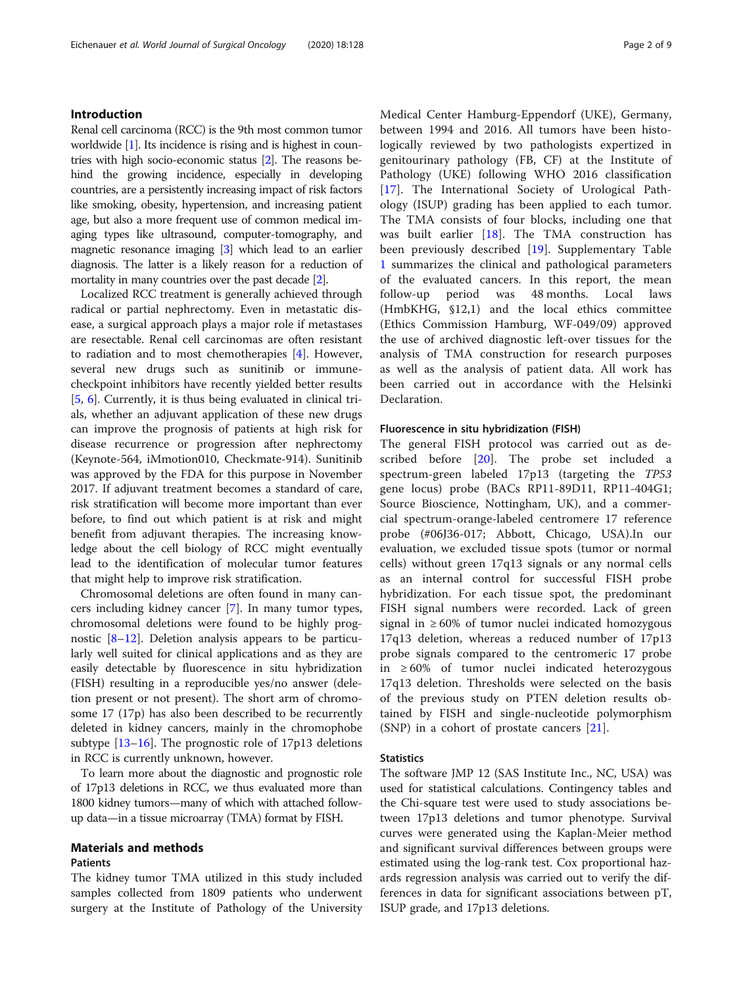### Introduction

Renal cell carcinoma (RCC) is the 9th most common tumor worldwide [\[1\]](#page-7-0). Its incidence is rising and is highest in countries with high socio-economic status [\[2](#page-7-0)]. The reasons behind the growing incidence, especially in developing countries, are a persistently increasing impact of risk factors like smoking, obesity, hypertension, and increasing patient age, but also a more frequent use of common medical imaging types like ultrasound, computer-tomography, and magnetic resonance imaging [\[3](#page-7-0)] which lead to an earlier diagnosis. The latter is a likely reason for a reduction of mortality in many countries over the past decade [[2](#page-7-0)].

Localized RCC treatment is generally achieved through radical or partial nephrectomy. Even in metastatic disease, a surgical approach plays a major role if metastases are resectable. Renal cell carcinomas are often resistant to radiation and to most chemotherapies [\[4](#page-7-0)]. However, several new drugs such as sunitinib or immunecheckpoint inhibitors have recently yielded better results [[5,](#page-7-0) [6](#page-7-0)]. Currently, it is thus being evaluated in clinical trials, whether an adjuvant application of these new drugs can improve the prognosis of patients at high risk for disease recurrence or progression after nephrectomy (Keynote-564, iMmotion010, Checkmate-914). Sunitinib was approved by the FDA for this purpose in November 2017. If adjuvant treatment becomes a standard of care, risk stratification will become more important than ever before, to find out which patient is at risk and might benefit from adjuvant therapies. The increasing knowledge about the cell biology of RCC might eventually lead to the identification of molecular tumor features that might help to improve risk stratification.

Chromosomal deletions are often found in many cancers including kidney cancer [\[7](#page-7-0)]. In many tumor types, chromosomal deletions were found to be highly prognostic [[8](#page-7-0)–[12\]](#page-7-0). Deletion analysis appears to be particularly well suited for clinical applications and as they are easily detectable by fluorescence in situ hybridization (FISH) resulting in a reproducible yes/no answer (deletion present or not present). The short arm of chromosome 17 (17p) has also been described to be recurrently deleted in kidney cancers, mainly in the chromophobe subtype [[13](#page-7-0)–[16](#page-7-0)]. The prognostic role of 17p13 deletions in RCC is currently unknown, however.

To learn more about the diagnostic and prognostic role of 17p13 deletions in RCC, we thus evaluated more than 1800 kidney tumors—many of which with attached followup data—in a tissue microarray (TMA) format by FISH.

#### Materials and methods

#### Patients

The kidney tumor TMA utilized in this study included samples collected from 1809 patients who underwent surgery at the Institute of Pathology of the University Medical Center Hamburg-Eppendorf (UKE), Germany, between 1994 and 2016. All tumors have been histologically reviewed by two pathologists expertized in genitourinary pathology (FB, CF) at the Institute of Pathology (UKE) following WHO 2016 classification [[17\]](#page-7-0). The International Society of Urological Pathology (ISUP) grading has been applied to each tumor. The TMA consists of four blocks, including one that was built earlier [[18\]](#page-7-0). The TMA construction has been previously described [\[19](#page-7-0)]. Supplementary Table [1](#page-6-0) summarizes the clinical and pathological parameters of the evaluated cancers. In this report, the mean follow-up period was 48 months. Local laws (HmbKHG, §12,1) and the local ethics committee (Ethics Commission Hamburg, WF-049/09) approved the use of archived diagnostic left-over tissues for the analysis of TMA construction for research purposes as well as the analysis of patient data. All work has been carried out in accordance with the Helsinki Declaration.

#### Fluorescence in situ hybridization (FISH)

The general FISH protocol was carried out as de-scribed before [[20\]](#page-7-0). The probe set included a spectrum-green labeled 17p13 (targeting the TP53 gene locus) probe (BACs RP11-89D11, RP11-404G1; Source Bioscience, Nottingham, UK), and a commercial spectrum-orange-labeled centromere 17 reference probe (#06J36-017; Abbott, Chicago, USA).In our evaluation, we excluded tissue spots (tumor or normal cells) without green 17q13 signals or any normal cells as an internal control for successful FISH probe hybridization. For each tissue spot, the predominant FISH signal numbers were recorded. Lack of green signal in  $\geq 60\%$  of tumor nuclei indicated homozygous 17q13 deletion, whereas a reduced number of 17p13 probe signals compared to the centromeric 17 probe in ≥ 60% of tumor nuclei indicated heterozygous 17q13 deletion. Thresholds were selected on the basis of the previous study on PTEN deletion results obtained by FISH and single-nucleotide polymorphism (SNP) in a cohort of prostate cancers [[21](#page-7-0)].

#### **Statistics**

The software JMP 12 (SAS Institute Inc., NC, USA) was used for statistical calculations. Contingency tables and the Chi-square test were used to study associations between 17p13 deletions and tumor phenotype. Survival curves were generated using the Kaplan-Meier method and significant survival differences between groups were estimated using the log-rank test. Cox proportional hazards regression analysis was carried out to verify the differences in data for significant associations between pT, ISUP grade, and 17p13 deletions.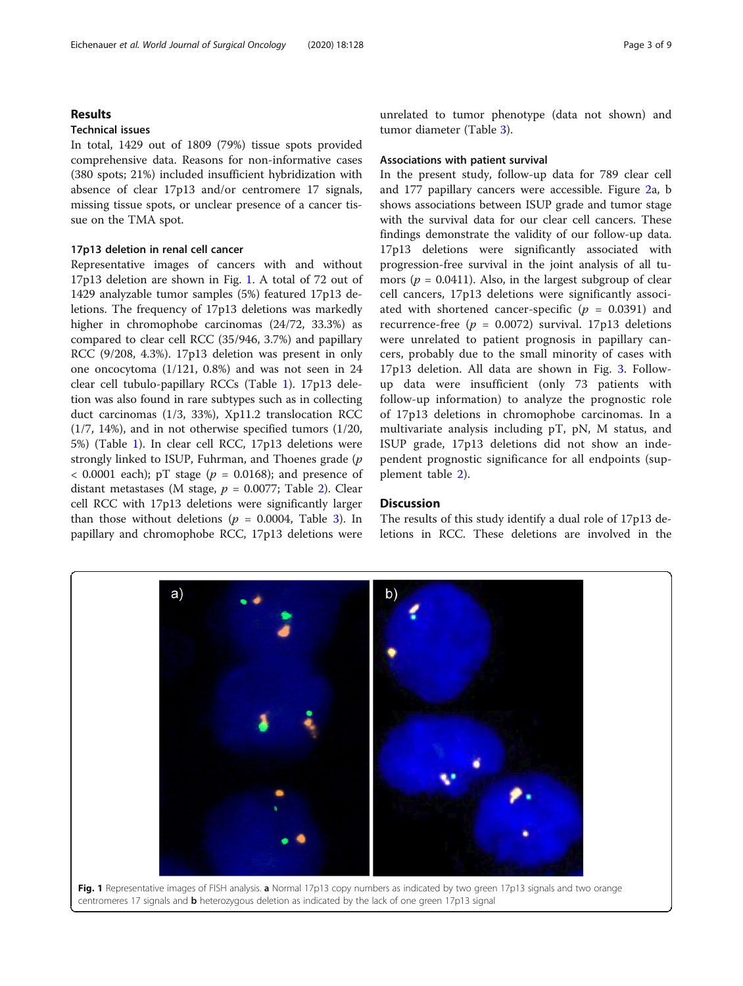#### Results

### Technical issues

In total, 1429 out of 1809 (79%) tissue spots provided comprehensive data. Reasons for non-informative cases (380 spots; 21%) included insufficient hybridization with absence of clear 17p13 and/or centromere 17 signals, missing tissue spots, or unclear presence of a cancer tissue on the TMA spot.

### 17p13 deletion in renal cell cancer

Representative images of cancers with and without 17p13 deletion are shown in Fig. 1. A total of 72 out of 1429 analyzable tumor samples (5%) featured 17p13 deletions. The frequency of 17p13 deletions was markedly higher in chromophobe carcinomas (24/72, 33.3%) as compared to clear cell RCC (35/946, 3.7%) and papillary RCC (9/208, 4.3%). 17p13 deletion was present in only one oncocytoma (1/121, 0.8%) and was not seen in 24 clear cell tubulo-papillary RCCs (Table [1](#page-3-0)). 17p13 deletion was also found in rare subtypes such as in collecting duct carcinomas (1/3, 33%), Xp11.2 translocation RCC (1/7, 14%), and in not otherwise specified tumors (1/20, 5%) (Table [1](#page-3-0)). In clear cell RCC, 17p13 deletions were strongly linked to ISUP, Fuhrman, and Thoenes grade (p  $<$  0.0001 each); pT stage ( $p = 0.0168$ ); and presence of distant metastases (M stage,  $p = 0.0077$ ; Table [2\)](#page-4-0). Clear cell RCC with 17p13 deletions were significantly larger than those without deletions ( $p = 0.0004$ , Table [3](#page-4-0)). In papillary and chromophobe RCC, 17p13 deletions were

unrelated to tumor phenotype (data not shown) and tumor diameter (Table [3](#page-4-0)).

### Associations with patient survival

In the present study, follow-up data for 789 clear cell and 177 papillary cancers were accessible. Figure [2a](#page-5-0), b shows associations between ISUP grade and tumor stage with the survival data for our clear cell cancers. These findings demonstrate the validity of our follow-up data. 17p13 deletions were significantly associated with progression-free survival in the joint analysis of all tumors ( $p = 0.0411$ ). Also, in the largest subgroup of clear cell cancers, 17p13 deletions were significantly associated with shortened cancer-specific  $(p = 0.0391)$  and recurrence-free ( $p = 0.0072$ ) survival. 17p13 deletions were unrelated to patient prognosis in papillary cancers, probably due to the small minority of cases with 17p13 deletion. All data are shown in Fig. [3](#page-6-0). Followup data were insufficient (only 73 patients with follow-up information) to analyze the prognostic role of 17p13 deletions in chromophobe carcinomas. In a multivariate analysis including pT, pN, M status, and ISUP grade, 17p13 deletions did not show an independent prognostic significance for all endpoints (supplement table [2\)](#page-6-0).

#### **Discussion**

The results of this study identify a dual role of 17p13 deletions in RCC. These deletions are involved in the

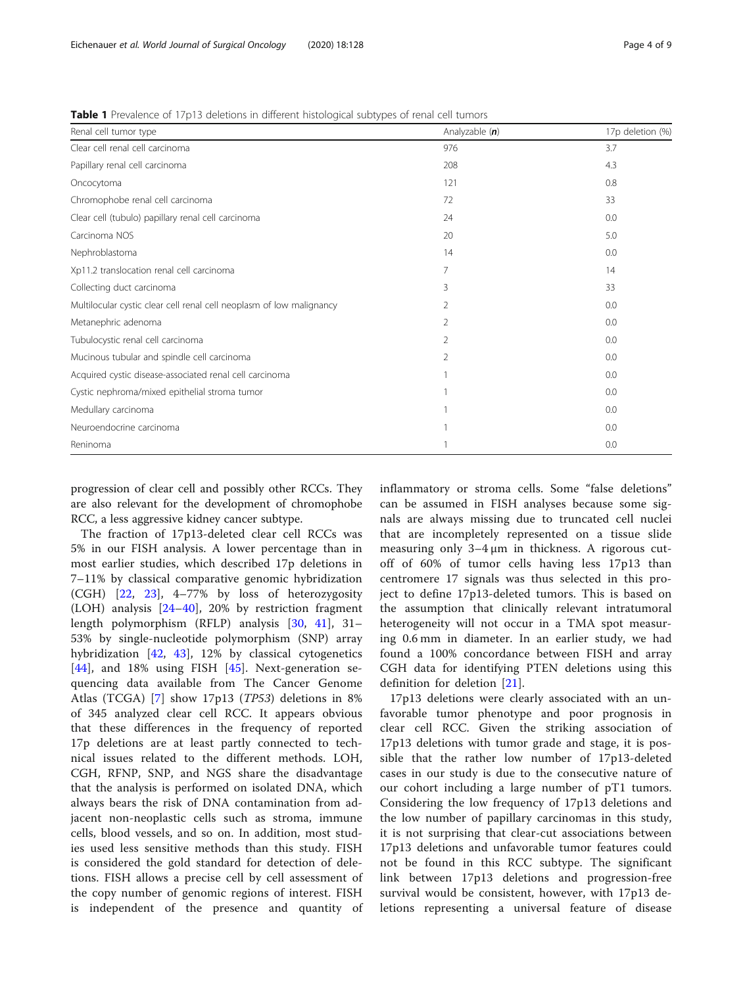<span id="page-3-0"></span>Table 1 Prevalence of 17p13 deletions in different histological subtypes of renal cell tumors

| Renal cell tumor type                                                | Analyzable (n) | 17p deletion (%) |
|----------------------------------------------------------------------|----------------|------------------|
| Clear cell renal cell carcinoma                                      | 976            | 3.7              |
| Papillary renal cell carcinoma                                       | 208            | 4.3              |
| Oncocytoma                                                           | 121            | 0.8              |
| Chromophobe renal cell carcinoma                                     | 72             | 33               |
| Clear cell (tubulo) papillary renal cell carcinoma                   | 24             | 0.0              |
| Carcinoma NOS                                                        | 20             | 5.0              |
| Nephroblastoma                                                       | 14             | 0.0              |
| Xp11.2 translocation renal cell carcinoma                            | 7              | 14               |
| Collecting duct carcinoma                                            | 3              | 33               |
| Multilocular cystic clear cell renal cell neoplasm of low malignancy | 2              | 0.0              |
| Metanephric adenoma                                                  | 2              | 0.0              |
| Tubulocystic renal cell carcinoma                                    | 2              | 0.0              |
| Mucinous tubular and spindle cell carcinoma                          | 2              | 0.0              |
| Acquired cystic disease-associated renal cell carcinoma              |                | 0.0              |
| Cystic nephroma/mixed epithelial stroma tumor                        |                | 0.0              |
| Medullary carcinoma                                                  |                | 0.0              |
| Neuroendocrine carcinoma                                             |                | 0.0              |
| Reninoma                                                             |                | 0.0              |

progression of clear cell and possibly other RCCs. They are also relevant for the development of chromophobe RCC, a less aggressive kidney cancer subtype.

The fraction of 17p13-deleted clear cell RCCs was 5% in our FISH analysis. A lower percentage than in most earlier studies, which described 17p deletions in 7–11% by classical comparative genomic hybridization (CGH) [[22,](#page-7-0) [23\]](#page-7-0), 4–77% by loss of heterozygosity (LOH) analysis [\[24](#page-7-0)–[40](#page-8-0)], 20% by restriction fragment length polymorphism (RFLP) analysis [[30,](#page-8-0) [41\]](#page-8-0), 31– 53% by single-nucleotide polymorphism (SNP) array hybridization [[42](#page-8-0), [43](#page-8-0)], 12% by classical cytogenetics [[44\]](#page-8-0), and 18% using FISH [[45](#page-8-0)]. Next-generation sequencing data available from The Cancer Genome Atlas (TCGA) [[7](#page-7-0)] show 17p13 (TP53) deletions in 8% of 345 analyzed clear cell RCC. It appears obvious that these differences in the frequency of reported 17p deletions are at least partly connected to technical issues related to the different methods. LOH, CGH, RFNP, SNP, and NGS share the disadvantage that the analysis is performed on isolated DNA, which always bears the risk of DNA contamination from adjacent non-neoplastic cells such as stroma, immune cells, blood vessels, and so on. In addition, most studies used less sensitive methods than this study. FISH is considered the gold standard for detection of deletions. FISH allows a precise cell by cell assessment of the copy number of genomic regions of interest. FISH is independent of the presence and quantity of

inflammatory or stroma cells. Some "false deletions" can be assumed in FISH analyses because some signals are always missing due to truncated cell nuclei that are incompletely represented on a tissue slide measuring only 3–4 μm in thickness. A rigorous cutoff of 60% of tumor cells having less 17p13 than centromere 17 signals was thus selected in this project to define 17p13-deleted tumors. This is based on the assumption that clinically relevant intratumoral heterogeneity will not occur in a TMA spot measuring 0.6 mm in diameter. In an earlier study, we had found a 100% concordance between FISH and array CGH data for identifying PTEN deletions using this definition for deletion [\[21](#page-7-0)].

17p13 deletions were clearly associated with an unfavorable tumor phenotype and poor prognosis in clear cell RCC. Given the striking association of 17p13 deletions with tumor grade and stage, it is possible that the rather low number of 17p13-deleted cases in our study is due to the consecutive nature of our cohort including a large number of pT1 tumors. Considering the low frequency of 17p13 deletions and the low number of papillary carcinomas in this study, it is not surprising that clear-cut associations between 17p13 deletions and unfavorable tumor features could not be found in this RCC subtype. The significant link between 17p13 deletions and progression-free survival would be consistent, however, with 17p13 deletions representing a universal feature of disease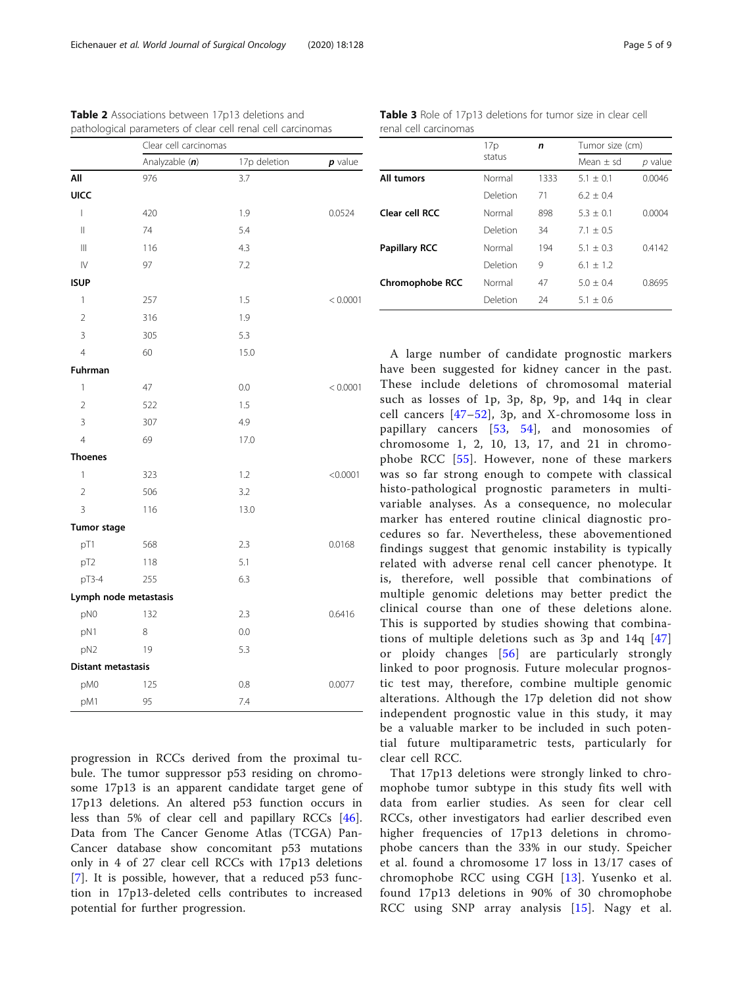|                                       | Clear cell carcinomas |              |           |  |
|---------------------------------------|-----------------------|--------------|-----------|--|
|                                       | Analyzable (n)        | 17p deletion | $p$ value |  |
| All                                   | 976                   | 3.7          |           |  |
| <b>UICC</b>                           |                       |              |           |  |
| $\overline{1}$                        | 420                   | 1.9          | 0.0524    |  |
| $\begin{array}{c} \hline \end{array}$ | 74                    | 5.4          |           |  |
| $\begin{array}{c} \hline \end{array}$ | 116                   | 4.3          |           |  |
| $\mathsf{IV}$                         | 97                    | 7.2          |           |  |
| <b>ISUP</b>                           |                       |              |           |  |
| 1                                     | 257                   | 1.5          | < 0.0001  |  |
| $\overline{2}$                        | 316                   | 1.9          |           |  |
| 3                                     | 305                   | 5.3          |           |  |
| $\overline{4}$                        | 60                    | 15.0         |           |  |
| Fuhrman                               |                       |              |           |  |
| 1                                     | 47                    | 0.0          | < 0.0001  |  |
| $\overline{2}$                        | 522                   | 1.5          |           |  |
| $\overline{3}$                        | 307                   | 4.9          |           |  |
| $\overline{4}$                        | 69                    | 17.0         |           |  |
| <b>Thoenes</b>                        |                       |              |           |  |
| 1                                     | 323                   | 1.2          | < 0.0001  |  |
| $\overline{2}$                        | 506                   | 3.2          |           |  |
| $\overline{3}$                        | 116                   | 13.0         |           |  |
| <b>Tumor stage</b>                    |                       |              |           |  |
| pT1                                   | 568                   | 2.3          | 0.0168    |  |
| pT2                                   | 118                   | 5.1          |           |  |
| pT3-4                                 | 255                   | 6.3          |           |  |
|                                       | Lymph node metastasis |              |           |  |
| pN0                                   | 132                   | 2.3          | 0.6416    |  |
| pN1                                   | 8                     | 0.0          |           |  |
| pN <sub>2</sub>                       | 19                    | 5.3          |           |  |
| <b>Distant metastasis</b>             |                       |              |           |  |
| pM0                                   | 125                   | 0.8          | 0.0077    |  |
| pM1                                   | 95                    | 7.4          |           |  |

<span id="page-4-0"></span>Table 2 Associations between 17p13 deletions and pathological parameters of clear cell renal cell carcinomas

progression in RCCs derived from the proximal tubule. The tumor suppressor p53 residing on chromosome 17p13 is an apparent candidate target gene of 17p13 deletions. An altered p53 function occurs in less than 5% of clear cell and papillary RCCs [\[46](#page-8-0)]. Data from The Cancer Genome Atlas (TCGA) Pan-Cancer database show concomitant p53 mutations only in 4 of 27 clear cell RCCs with 17p13 deletions [[7\]](#page-7-0). It is possible, however, that a reduced p53 function in 17p13-deleted cells contributes to increased potential for further progression.

Table 3 Role of 17p13 deletions for tumor size in clear cell renal cell carcinomas

|                        | 17p<br>status | n    | Tumor size (cm) |           |
|------------------------|---------------|------|-----------------|-----------|
|                        |               |      | Mean $\pm$ sd   | $p$ value |
| All tumors             | Normal        | 1333 | $5.1 + 0.1$     | 0.0046    |
|                        | Deletion      | 71   | $6.2 + 0.4$     |           |
| Clear cell RCC         | Normal        | 898  | $5.3 + 0.1$     | 0.0004    |
|                        | Deletion      | 34   | $7.1 + 0.5$     |           |
| <b>Papillary RCC</b>   | Normal        | 194  | $5.1 + 0.3$     | 0.4142    |
|                        | Deletion      | 9    | $6.1 + 1.2$     |           |
| <b>Chromophobe RCC</b> | Normal        | 47   | $5.0 + 0.4$     | 0.8695    |
|                        | Deletion      | 24   | $5.1 + 0.6$     |           |

A large number of candidate prognostic markers have been suggested for kidney cancer in the past. These include deletions of chromosomal material such as losses of 1p, 3p, 8p, 9p, and 14q in clear cell cancers [[47](#page-8-0)–[52\]](#page-8-0), 3p, and X-chromosome loss in papillary cancers [[53,](#page-8-0) [54\]](#page-8-0), and monosomies of chromosome 1, 2, 10, 13, 17, and 21 in chromophobe RCC [[55](#page-8-0)]. However, none of these markers was so far strong enough to compete with classical histo-pathological prognostic parameters in multivariable analyses. As a consequence, no molecular marker has entered routine clinical diagnostic procedures so far. Nevertheless, these abovementioned findings suggest that genomic instability is typically related with adverse renal cell cancer phenotype. It is, therefore, well possible that combinations of multiple genomic deletions may better predict the clinical course than one of these deletions alone. This is supported by studies showing that combinations of multiple deletions such as 3p and 14q [[47](#page-8-0)] or ploidy changes [[56](#page-8-0)] are particularly strongly linked to poor prognosis. Future molecular prognostic test may, therefore, combine multiple genomic alterations. Although the 17p deletion did not show independent prognostic value in this study, it may be a valuable marker to be included in such potential future multiparametric tests, particularly for clear cell RCC.

That 17p13 deletions were strongly linked to chromophobe tumor subtype in this study fits well with data from earlier studies. As seen for clear cell RCCs, other investigators had earlier described even higher frequencies of 17p13 deletions in chromophobe cancers than the 33% in our study. Speicher et al. found a chromosome 17 loss in 13/17 cases of chromophobe RCC using CGH [[13](#page-7-0)]. Yusenko et al. found 17p13 deletions in 90% of 30 chromophobe RCC using SNP array analysis [[15](#page-7-0)]. Nagy et al.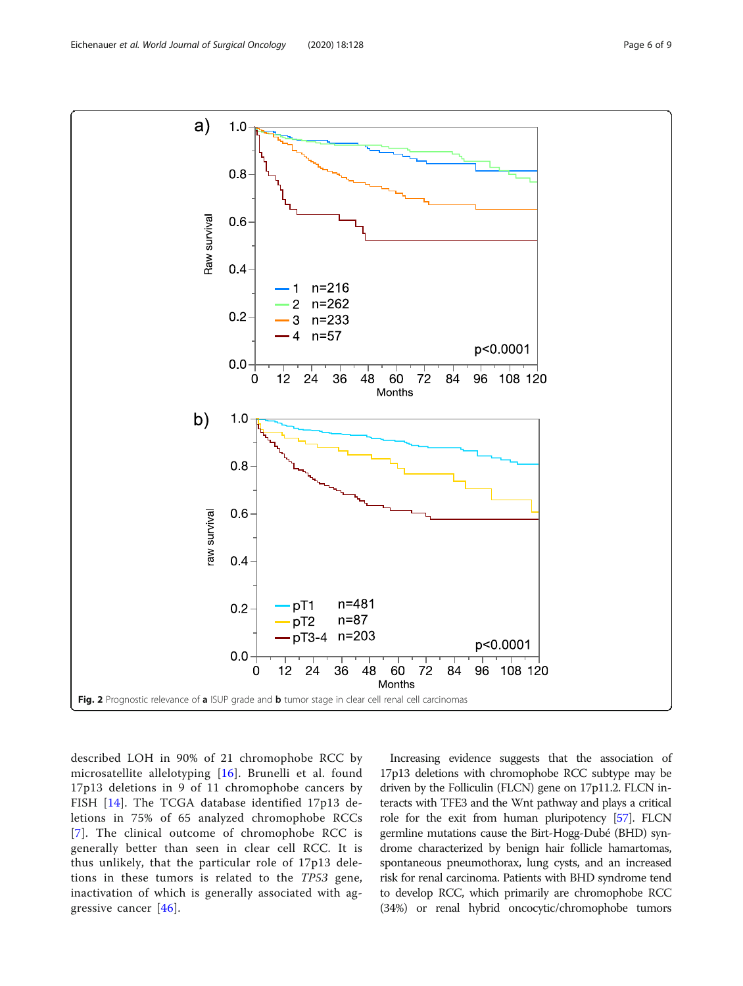<span id="page-5-0"></span>

described LOH in 90% of 21 chromophobe RCC by microsatellite allelotyping [\[16\]](#page-7-0). Brunelli et al. found 17p13 deletions in 9 of 11 chromophobe cancers by FISH [\[14\]](#page-7-0). The TCGA database identified 17p13 deletions in 75% of 65 analyzed chromophobe RCCs [[7](#page-7-0)]. The clinical outcome of chromophobe RCC is generally better than seen in clear cell RCC. It is thus unlikely, that the particular role of 17p13 deletions in these tumors is related to the TP53 gene, inactivation of which is generally associated with aggressive cancer [[46](#page-8-0)].

Increasing evidence suggests that the association of 17p13 deletions with chromophobe RCC subtype may be driven by the Folliculin (FLCN) gene on 17p11.2. FLCN interacts with TFE3 and the Wnt pathway and plays a critical role for the exit from human pluripotency [[57\]](#page-8-0). FLCN germline mutations cause the Birt-Hogg-Dubé (BHD) syndrome characterized by benign hair follicle hamartomas, spontaneous pneumothorax, lung cysts, and an increased risk for renal carcinoma. Patients with BHD syndrome tend to develop RCC, which primarily are chromophobe RCC (34%) or renal hybrid oncocytic/chromophobe tumors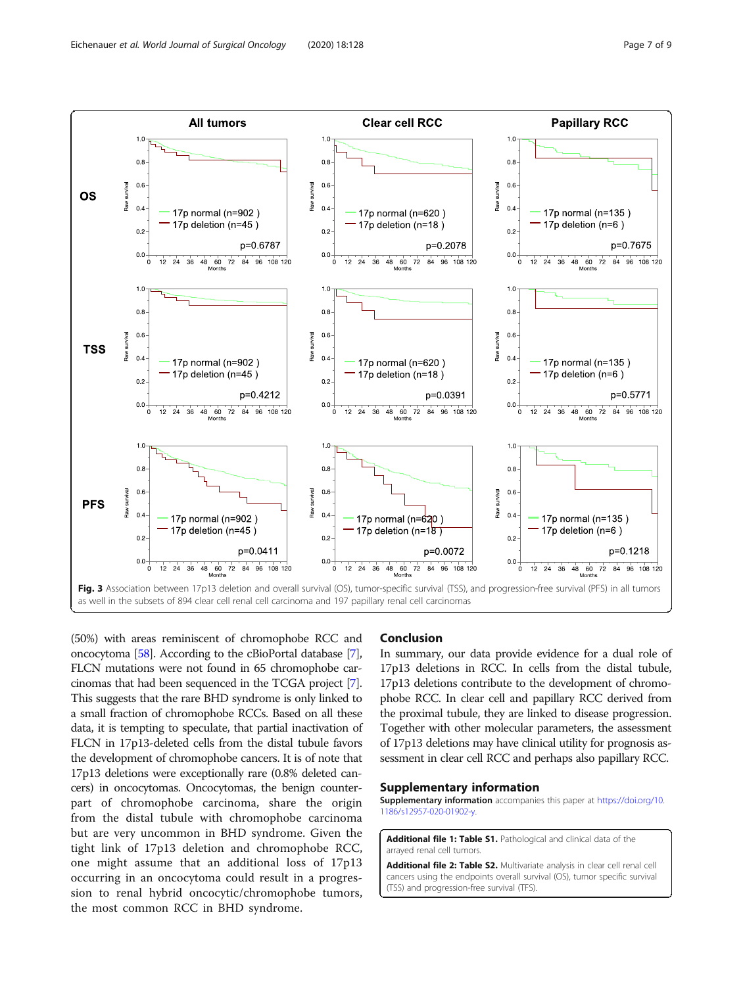<span id="page-6-0"></span>

(50%) with areas reminiscent of chromophobe RCC and oncocytoma [\[58\]](#page-8-0). According to the cBioPortal database [[7](#page-7-0)], FLCN mutations were not found in 65 chromophobe carcinomas that had been sequenced in the TCGA project [[7](#page-7-0)]. This suggests that the rare BHD syndrome is only linked to a small fraction of chromophobe RCCs. Based on all these data, it is tempting to speculate, that partial inactivation of FLCN in 17p13-deleted cells from the distal tubule favors the development of chromophobe cancers. It is of note that 17p13 deletions were exceptionally rare (0.8% deleted cancers) in oncocytomas. Oncocytomas, the benign counterpart of chromophobe carcinoma, share the origin from the distal tubule with chromophobe carcinoma but are very uncommon in BHD syndrome. Given the tight link of 17p13 deletion and chromophobe RCC, one might assume that an additional loss of 17p13 occurring in an oncocytoma could result in a progression to renal hybrid oncocytic/chromophobe tumors, the most common RCC in BHD syndrome.

#### Conclusion

In summary, our data provide evidence for a dual role of 17p13 deletions in RCC. In cells from the distal tubule, 17p13 deletions contribute to the development of chromophobe RCC. In clear cell and papillary RCC derived from the proximal tubule, they are linked to disease progression. Together with other molecular parameters, the assessment of 17p13 deletions may have clinical utility for prognosis assessment in clear cell RCC and perhaps also papillary RCC.

#### Supplementary information

Supplementary information accompanies this paper at [https://doi.org/10.](https://doi.org/10.1186/s12957-020-01902-y) [1186/s12957-020-01902-y](https://doi.org/10.1186/s12957-020-01902-y).

Additional file 1: Table S1. Pathological and clinical data of the arrayed renal cell tumors.

Additional file 2: Table S2. Multivariate analysis in clear cell renal cell cancers using the endpoints overall survival (OS), tumor specific survival (TSS) and progression-free survival (TFS).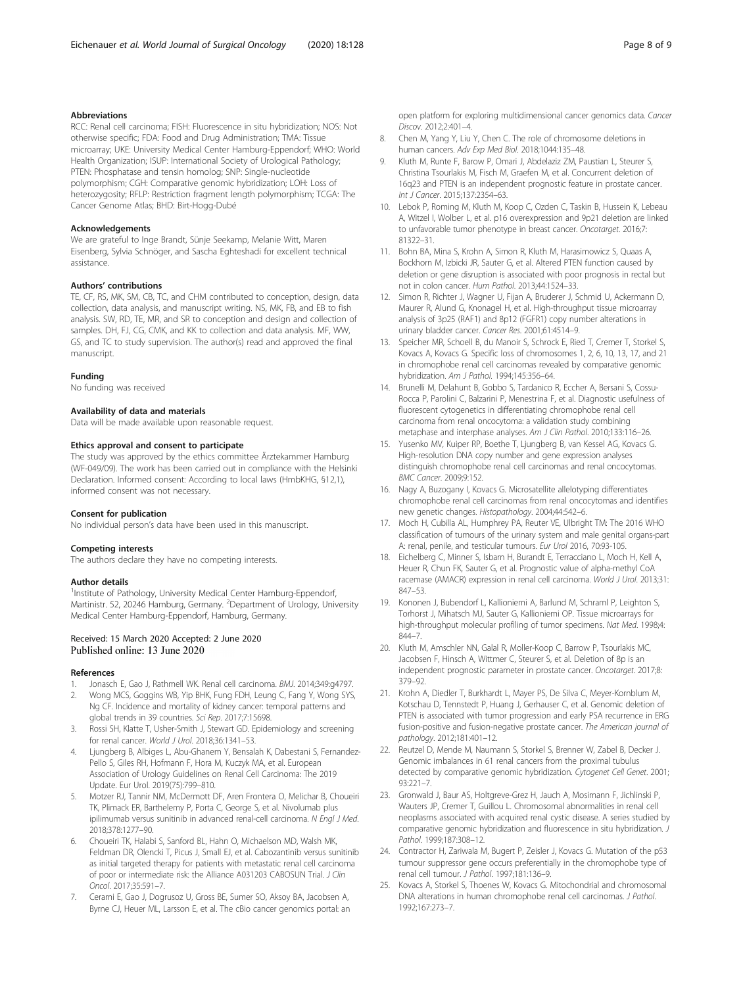#### <span id="page-7-0"></span>Abbreviations

RCC: Renal cell carcinoma; FISH: Fluorescence in situ hybridization; NOS: Not otherwise specific; FDA: Food and Drug Administration; TMA: Tissue microarray; UKE: University Medical Center Hamburg-Eppendorf; WHO: World Health Organization; ISUP: International Society of Urological Pathology; PTEN: Phosphatase and tensin homolog; SNP: Single-nucleotide polymorphism; CGH: Comparative genomic hybridization; LOH: Loss of heterozygosity; RFLP: Restriction fragment length polymorphism; TCGA: The Cancer Genome Atlas; BHD: Birt-Hogg-Dubé

#### Acknowledgements

We are grateful to Inge Brandt, Sünje Seekamp, Melanie Witt, Maren Eisenberg, Sylvia Schnöger, and Sascha Eghteshadi for excellent technical assistance.

#### Authors' contributions

TE, CF, RS, MK, SM, CB, TC, and CHM contributed to conception, design, data collection, data analysis, and manuscript writing. NS, MK, FB, and EB to fish analysis. SW, RD, TE, MR, and SR to conception and design and collection of samples. DH, FJ, CG, CMK, and KK to collection and data analysis. MF, WW, GS, and TC to study supervision. The author(s) read and approved the final manuscript.

#### Funding

No funding was received

#### Availability of data and materials

Data will be made available upon reasonable request.

#### Ethics approval and consent to participate

The study was approved by the ethics committee Ärztekammer Hamburg (WF-049/09). The work has been carried out in compliance with the Helsinki Declaration. Informed consent: According to local laws (HmbKHG, §12,1), informed consent was not necessary.

#### Consent for publication

No individual person's data have been used in this manuscript.

#### Competing interests

The authors declare they have no competing interests.

#### Author details

<sup>1</sup>Institute of Pathology, University Medical Center Hamburg-Eppendorf, Martinistr. 52, 20246 Hamburg, Germany. <sup>2</sup>Department of Urology, University Medical Center Hamburg-Eppendorf, Hamburg, Germany.

#### Received: 15 March 2020 Accepted: 2 June 2020 Published online: 13 June 2020

#### References

- Jonasch E, Gao J, Rathmell WK. Renal cell carcinoma. BMJ. 2014;349:q4797.
- 2. Wong MCS, Goggins WB, Yip BHK, Fung FDH, Leung C, Fang Y, Wong SYS, Ng CF. Incidence and mortality of kidney cancer: temporal patterns and global trends in 39 countries. Sci Rep. 2017;7:15698.
- Rossi SH, Klatte T, Usher-Smith J, Stewart GD. Epidemiology and screening for renal cancer. World J Urol. 2018;36:1341–53.
- 4. Ljungberg B, Albiges L, Abu-Ghanem Y, Bensalah K, Dabestani S, Fernandez-Pello S, Giles RH, Hofmann F, Hora M, Kuczyk MA, et al. European Association of Urology Guidelines on Renal Cell Carcinoma: The 2019 Update. Eur Urol. 2019(75):799–810.
- 5. Motzer RJ, Tannir NM, McDermott DF, Aren Frontera O, Melichar B, Choueiri TK, Plimack ER, Barthelemy P, Porta C, George S, et al. Nivolumab plus ipilimumab versus sunitinib in advanced renal-cell carcinoma. N Engl J Med. 2018;378:1277–90.
- 6. Choueiri TK, Halabi S, Sanford BL, Hahn O, Michaelson MD, Walsh MK, Feldman DR, Olencki T, Picus J, Small EJ, et al. Cabozantinib versus sunitinib as initial targeted therapy for patients with metastatic renal cell carcinoma of poor or intermediate risk: the Alliance A031203 CABOSUN Trial. J Clin Oncol. 2017;35:591–7.
- 7. Cerami E, Gao J, Dogrusoz U, Gross BE, Sumer SO, Aksoy BA, Jacobsen A, Byrne CJ, Heuer ML, Larsson E, et al. The cBio cancer genomics portal: an

open platform for exploring multidimensional cancer genomics data. Cancer Discov. 2012;2:401–4.

- 8. Chen M, Yang Y, Liu Y, Chen C. The role of chromosome deletions in human cancers. Adv Exp Med Biol. 2018;1044:135–48.
- 9. Kluth M, Runte F, Barow P, Omari J, Abdelaziz ZM, Paustian L, Steurer S, Christina Tsourlakis M, Fisch M, Graefen M, et al. Concurrent deletion of 16q23 and PTEN is an independent prognostic feature in prostate cancer. Int J Cancer. 2015;137:2354–63.
- 10. Lebok P, Roming M, Kluth M, Koop C, Ozden C, Taskin B, Hussein K, Lebeau A, Witzel I, Wolber L, et al. p16 overexpression and 9p21 deletion are linked to unfavorable tumor phenotype in breast cancer. Oncotarget. 2016;7: 81322–31.
- 11. Bohn BA, Mina S, Krohn A, Simon R, Kluth M, Harasimowicz S, Quaas A, Bockhorn M, Izbicki JR, Sauter G, et al. Altered PTEN function caused by deletion or gene disruption is associated with poor prognosis in rectal but not in colon cancer. Hum Pathol. 2013;44:1524–33.
- 12. Simon R, Richter J, Wagner U, Fijan A, Bruderer J, Schmid U, Ackermann D, Maurer R, Alund G, Knonagel H, et al. High-throughput tissue microarray analysis of 3p25 (RAF1) and 8p12 (FGFR1) copy number alterations in urinary bladder cancer. Cancer Res. 2001;61:4514–9.
- 13. Speicher MR, Schoell B, du Manoir S, Schrock E, Ried T, Cremer T, Storkel S, Kovacs A, Kovacs G. Specific loss of chromosomes 1, 2, 6, 10, 13, 17, and 21 in chromophobe renal cell carcinomas revealed by comparative genomic hybridization. Am J Pathol. 1994;145:356–64.
- 14. Brunelli M, Delahunt B, Gobbo S, Tardanico R, Eccher A, Bersani S, Cossu-Rocca P, Parolini C, Balzarini P, Menestrina F, et al. Diagnostic usefulness of fluorescent cytogenetics in differentiating chromophobe renal cell carcinoma from renal oncocytoma: a validation study combining metaphase and interphase analyses. Am J Clin Pathol. 2010;133:116–26.
- 15. Yusenko MV, Kuiper RP, Boethe T, Ljungberg B, van Kessel AG, Kovacs G. High-resolution DNA copy number and gene expression analyses distinguish chromophobe renal cell carcinomas and renal oncocytomas. BMC Cancer. 2009;9:152.
- 16. Nagy A, Buzogany I, Kovacs G. Microsatellite allelotyping differentiates chromophobe renal cell carcinomas from renal oncocytomas and identifies new genetic changes. Histopathology. 2004;44:542–6.
- 17. Moch H, Cubilla AL, Humphrey PA, Reuter VE, Ulbright TM: The 2016 WHO classification of tumours of the urinary system and male genital organs-part A: renal, penile, and testicular tumours. Eur Urol 2016, 70:93-105.
- 18. Eichelberg C, Minner S, Isbarn H, Burandt E, Terracciano L, Moch H, Kell A, Heuer R, Chun FK, Sauter G, et al. Prognostic value of alpha-methyl CoA racemase (AMACR) expression in renal cell carcinoma. World J Urol. 2013;31: 847–53.
- 19. Kononen J, Bubendorf L, Kallioniemi A, Barlund M, Schraml P, Leighton S, Torhorst J, Mihatsch MJ, Sauter G, Kallioniemi OP. Tissue microarrays for high-throughput molecular profiling of tumor specimens. Nat Med. 1998;4: 844–7.
- 20. Kluth M, Amschler NN, Galal R, Moller-Koop C, Barrow P, Tsourlakis MC, Jacobsen F, Hinsch A, Wittmer C, Steurer S, et al. Deletion of 8p is an independent prognostic parameter in prostate cancer. Oncotarget. 2017;8: 379–92.
- 21. Krohn A, Diedler T, Burkhardt L, Mayer PS, De Silva C, Meyer-Kornblum M, Kotschau D, Tennstedt P, Huang J, Gerhauser C, et al. Genomic deletion of PTEN is associated with tumor progression and early PSA recurrence in ERG fusion-positive and fusion-negative prostate cancer. The American journal of pathology. 2012;181:401–12.
- 22. Reutzel D, Mende M, Naumann S, Storkel S, Brenner W, Zabel B, Decker J. Genomic imbalances in 61 renal cancers from the proximal tubulus detected by comparative genomic hybridization. Cytogenet Cell Genet. 2001; 93:221–7.
- 23. Gronwald J, Baur AS, Holtgreve-Grez H, Jauch A, Mosimann F, Jichlinski P, Wauters JP, Cremer T, Guillou L. Chromosomal abnormalities in renal cell neoplasms associated with acquired renal cystic disease. A series studied by comparative genomic hybridization and fluorescence in situ hybridization. J Pathol. 1999;187:308–12.
- 24. Contractor H, Zariwala M, Bugert P, Zeisler J, Kovacs G. Mutation of the p53 tumour suppressor gene occurs preferentially in the chromophobe type of renal cell tumour. J Pathol. 1997;181:136–9.
- 25. Kovacs A, Storkel S, Thoenes W, Kovacs G. Mitochondrial and chromosomal DNA alterations in human chromophobe renal cell carcinomas. J Pathol. 1992;167:273–7.